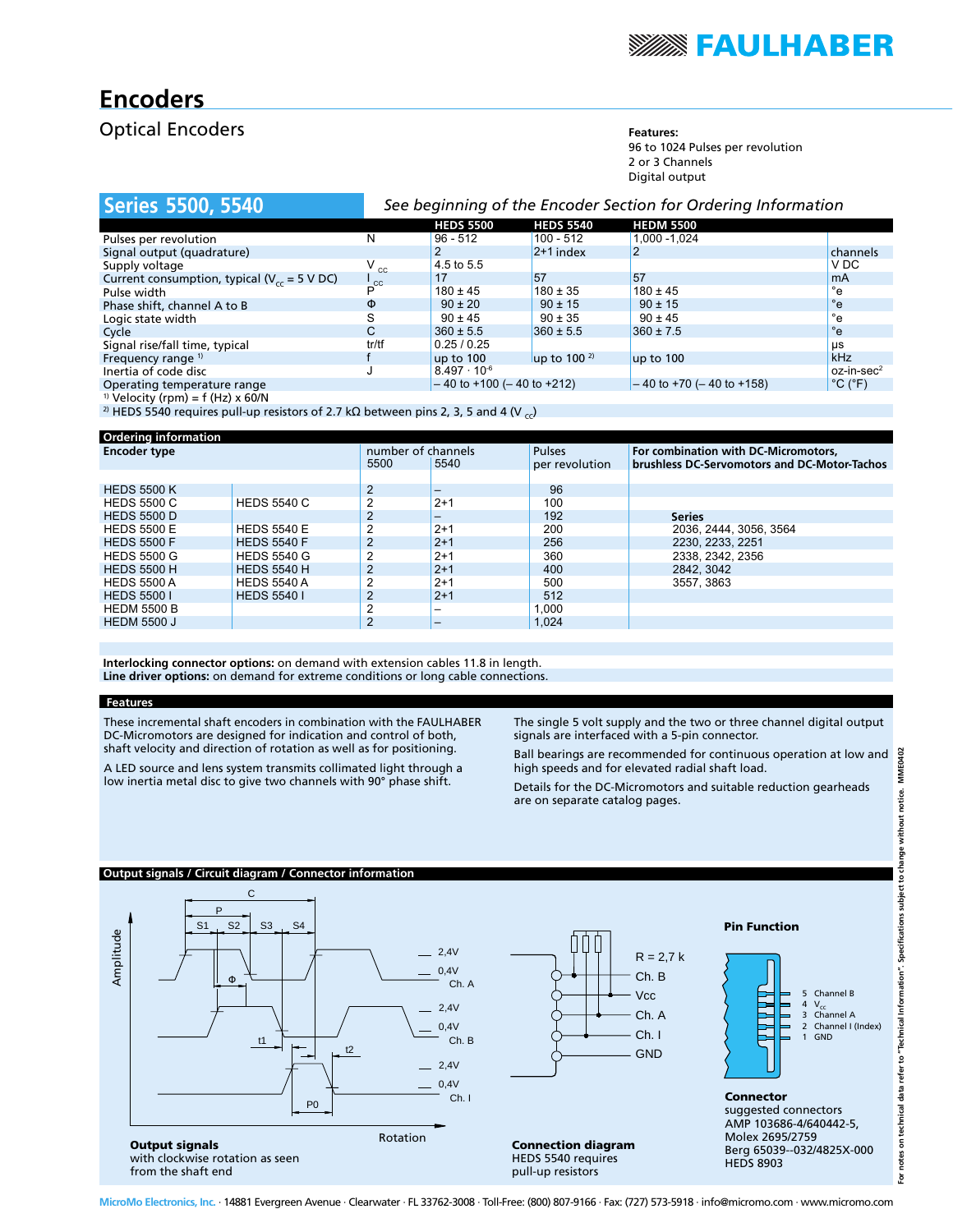

# **Encoders**

### **Optical Encoders Features:**

96 to 1024 Pulses per revolution 2 or 3 Channels Digital output

| <b>Series 5500, 5540</b>                          | See beginning of the Encoder Section for Ordering Information |                                     |                  |                               |                              |
|---------------------------------------------------|---------------------------------------------------------------|-------------------------------------|------------------|-------------------------------|------------------------------|
|                                                   |                                                               | <b>HEDS 5500</b>                    | <b>HEDS 5540</b> | <b>HEDM 5500</b>              |                              |
| Pulses per revolution                             | N                                                             | $96 - 512$                          | $100 - 512$      | 1.000 - 1.024                 |                              |
| Signal output (quadrature)                        |                                                               |                                     | $2+1$ index      | 2                             | channels                     |
| Supply voltage                                    | $V_{\rm cc}$                                                  | 4.5 to 5.5                          |                  |                               | V DC                         |
| Current consumption, typical ( $V_{cc}$ = 5 V DC) | $\mathsf{c}_{\mathsf{c}}$                                     | 17                                  | 57               | 57                            | <sub>m</sub> A               |
| Pulse width                                       |                                                               | $180 \pm 45$                        | $180 \pm 35$     | $180 \pm 45$                  | $^{\circ}$ e                 |
| Phase shift, channel A to B                       | Φ                                                             | $90 \pm 20$                         | $90 \pm 15$      | $90 \pm 15$                   | $^{\circ}$ e                 |
| Logic state width                                 | S                                                             | $90 \pm 45$                         | $90 \pm 35$      | $90 \pm 45$                   | $^{\circ}$ e                 |
| Cycle                                             | C.                                                            | $360 \pm 5.5$                       | $360 \pm 5.5$    | $360 \pm 7.5$                 | $^{\circ}$ e                 |
| Signal rise/fall time, typical                    | tr/tf                                                         | 0.25/0.25                           |                  |                               | μs                           |
| Frequency range <sup>1)</sup>                     |                                                               | up to 100                           | up to $1002$     | up to 100                     | kHz                          |
| Inertia of code disc                              |                                                               | $8.497 \cdot 10^{-6}$               |                  |                               | $oz-in\text{-}sec^2$         |
| Operating temperature range                       |                                                               | $-40$ to $+100$ ( $-40$ to $+212$ ) |                  | $-40$ to +70 ( $-40$ to +158) | $^{\circ}$ C ( $^{\circ}$ F) |
| <sup>1)</sup> Velocity (rpm) = $f$ (Hz) x 60/N    |                                                               |                                     |                  |                               |                              |

<sup>2)</sup> HEDS 5540 requires pull-up resistors of 2.7 kΩ between pins 2, 3, 5 and 4 (V  $_{\rm cc}$ )

| <b>Ordering information</b> |                    |                                    |                          |                                 |                                                                                      |                        |
|-----------------------------|--------------------|------------------------------------|--------------------------|---------------------------------|--------------------------------------------------------------------------------------|------------------------|
| <b>Encoder type</b>         |                    | number of channels<br>5500<br>5540 |                          | <b>Pulses</b><br>per revolution | For combination with DC-Micromotors,<br>brushless DC-Servomotors and DC-Motor-Tachos |                        |
|                             |                    |                                    |                          |                                 |                                                                                      |                        |
| <b>HEDS 5500 K</b>          |                    | $\overline{2}$                     |                          | 96                              |                                                                                      |                        |
| <b>HEDS 5500 C</b>          | <b>HEDS 5540 C</b> | $\overline{2}$                     | $2+1$                    | 100                             |                                                                                      |                        |
| <b>HEDS 5500 D</b>          |                    | $\overline{2}$                     |                          | 192                             |                                                                                      | <b>Series</b>          |
| <b>HEDS 5500 E</b>          | <b>HEDS 5540 E</b> | $\overline{2}$                     | $2+1$                    | 200                             |                                                                                      | 2036, 2444, 3056, 3564 |
| <b>HEDS 5500 F</b>          | <b>HEDS 5540 F</b> | $\overline{2}$                     | $2+1$                    | 256                             |                                                                                      | 2230. 2233. 2251       |
| <b>HEDS 5500 G</b>          | <b>HEDS 5540 G</b> | $\overline{2}$                     | $2+1$                    | 360                             |                                                                                      | 2338, 2342, 2356       |
| <b>HEDS 5500 H</b>          | <b>HEDS 5540 H</b> | $\overline{2}$                     | $2+1$                    | 400                             |                                                                                      | 2842, 3042             |
| <b>HEDS 5500 A</b>          | <b>HEDS 5540 A</b> | $\overline{2}$                     | $2+1$                    | 500                             |                                                                                      | 3557.3863              |
| <b>HEDS 5500 I</b>          | <b>HEDS 5540 I</b> | 2                                  | $2+1$                    | 512                             |                                                                                      |                        |
| <b>HEDM 5500 B</b>          |                    | $\overline{2}$                     | -                        | 1.000                           |                                                                                      |                        |
| <b>HEDM 5500 J</b>          |                    | $\overline{2}$                     | $\overline{\phantom{0}}$ | 1.024                           |                                                                                      |                        |

**Interlocking connector options:** on demand with extension cables 11.8 in length. **Line driver options:** on demand for extreme conditions or long cable connections.

### **Features**

These incremental shaft encoders in combination with the FAULHABER DC-Micromotors are designed for indication and control of both, shaft velocity and direction of rotation as well as for positioning.

 low inertia metal disc to give two channels with 90° phase shift. A LED source and lens system transmits collimated light through a

The single 5 volt supply and the two or three channel digital output signals are interfaced with a 5-pin connector.

 Ball bearings are recommended for continuous operation at low and high speeds and for elevated radial shaft load.

Details for the DC-Micromotors and suitable reduction gearheads are on separate catalog pages.

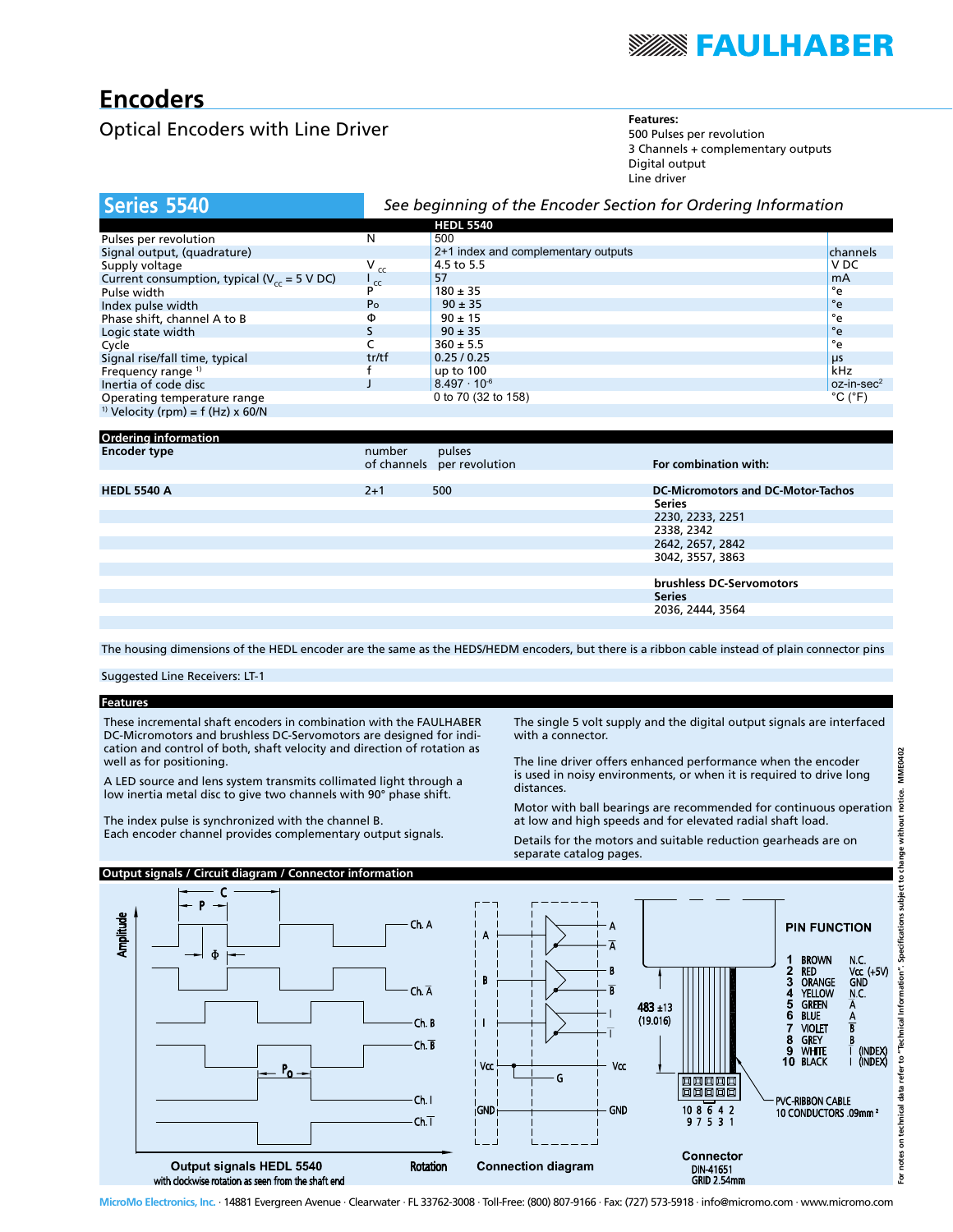

# **Encoders**

# **Optical Encoders with Line Driver Features:** Features: Features:

500 Pulses per revolution 3 Channels + complementary outputs Digital output Line driver

| Series 5540                                       | See beginning of the Encoder Section for Ordering Information |                                     |                              |
|---------------------------------------------------|---------------------------------------------------------------|-------------------------------------|------------------------------|
|                                                   |                                                               | <b>HEDL 5540</b>                    |                              |
| Pulses per revolution                             | N                                                             | 500                                 |                              |
| Signal output, (quadrature)                       |                                                               | 2+1 index and complementary outputs | channels                     |
| Supply voltage                                    | $V_{cc}$                                                      | 4.5 to 5.5                          | V <sub>DC</sub>              |
| Current consumption, typical ( $V_{cc}$ = 5 V DC) | $\frac{1}{c}$                                                 | 57                                  | <b>mA</b>                    |
| Pulse width                                       |                                                               | $180 \pm 35$                        | °e                           |
| Index pulse width                                 | P <sub>o</sub>                                                | $90 \pm 35$                         | $^{\circ}$ e                 |
| Phase shift, channel A to B                       | Φ                                                             | $90 \pm 15$                         | °e                           |
| Logic state width                                 |                                                               | $90 \pm 35$                         | $^{\circ}$ e                 |
| Cycle                                             |                                                               | $360 \pm 5.5$                       | °e                           |
| Signal rise/fall time, typical                    | tr/tf                                                         | 0.25/0.25                           | μs                           |
| Frequency range <sup>1)</sup>                     |                                                               | up to 100                           | kHz                          |
| Inertia of code disc                              |                                                               | $8.497 \cdot 10^{-6}$               | $oz-in\text{-}sec^2$         |
| Operating temperature range                       |                                                               | 0 to 70 (32 to 158)                 | $^{\circ}$ C ( $^{\circ}$ F) |
| <sup>1)</sup> Velocity (rpm) = $f$ (Hz) x 60/N    |                                                               |                                     |                              |
|                                                   |                                                               |                                     |                              |

| <b>Ordering information</b> |         |                            |                                    |
|-----------------------------|---------|----------------------------|------------------------------------|
| <b>Encoder type</b>         | number  | pulses                     |                                    |
|                             |         | of channels per revolution | For combination with:              |
|                             |         |                            |                                    |
| <b>HEDL 5540 A</b>          | $2 + 1$ | 500                        | DC-Micromotors and DC-Motor-Tachos |
|                             |         |                            | <b>Series</b>                      |
|                             |         |                            | 2230, 2233, 2251                   |
|                             |         |                            | 2338, 2342                         |
|                             |         |                            | 2642, 2657, 2842                   |
|                             |         |                            | 3042, 3557, 3863                   |
|                             |         |                            |                                    |
|                             |         |                            | brushless DC-Servomotors           |
|                             |         |                            | <b>Series</b>                      |
|                             |         |                            | 2036, 2444, 3564                   |
|                             |         |                            |                                    |

The housing dimensions of the HEDL encoder are the same as the HEDS/HEDM encoders, but there is a ribbon cable instead of plain connector pins

Suggested Line Receivers: LT-1

### **Features**

These incremental shaft encoders in combination with the FAULHABER DC-Micromotors and brushless DC-Servomotors are designed for indication and control of both, shaft velocity and direction of rotation as well as for positioning.

 A LED source and lens system transmits collimated light through a low inertia metal disc to give two channels with 90° phase shift.

The index pulse is synchronized with the channel B. Each encoder channel provides complementary output signals.

**Output signals / Circuit diagram / Connector information**

The single 5 volt supply and the digital output signals are interfaced with a connector.

The line driver offers enhanced performance when the encoder is used in noisy environments, or when it is required to drive long distances.

Motor with ball bearings are recommended for continuous operation at low and high speeds and for elevated radial shaft load.

Details for the motors and suitable reduction gearheads are on separate catalog pages.

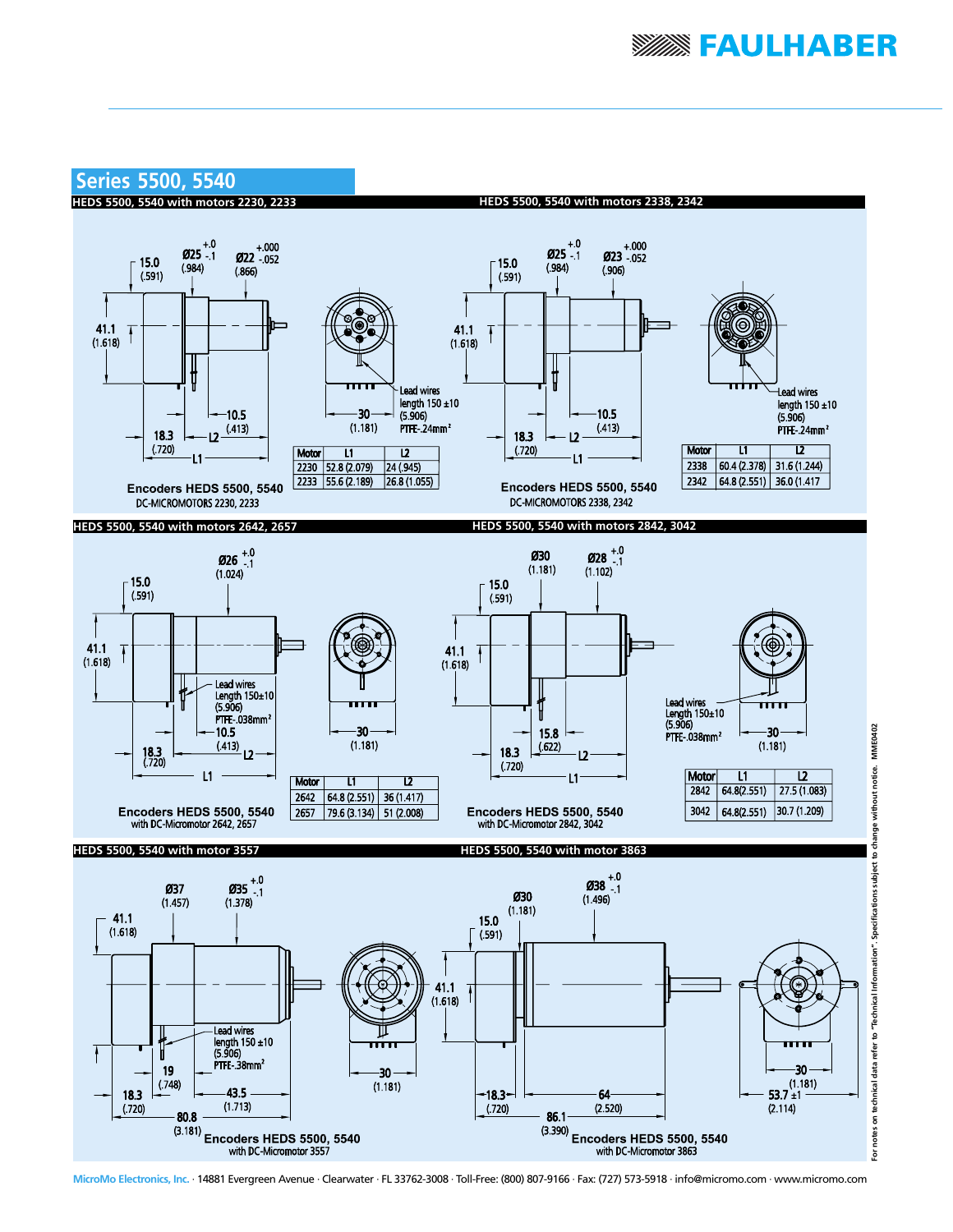

Encoders HEDS 5500, 5540 2657  $79.6(3.134)$  51 (2.008) with DC-Micromotor 2642, 2657 **HEDS 5500, 5540 with motor 3557**



**HEDS 5500, 5540 with motor 3863**